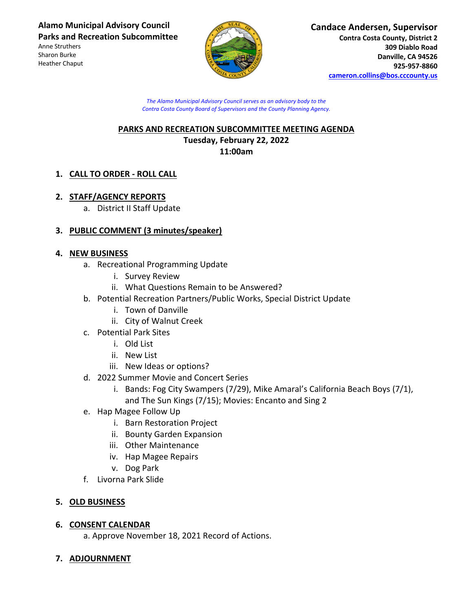**Alamo Municipal Advisory Council Parks and Recreation Subcommittee**

Anne Struthers Sharon Burke Heather Chaput



#### **Candace Andersen, Supervisor Contra Costa County, District 2 309 Diablo Road Danville, CA 94526 925-957-8860 cameron.collins@bos.cccounty.us**

*The Alamo Municipal Advisory Council serves as an advisory body to the Contra Costa County Board of Supervisors and the County Planning Agency.*

### **PARKS AND RECREATION SUBCOMMITTEE MEETING AGENDA Tuesday, February 22, 2022 11:00am**

# **1. CALL TO ORDER - ROLL CALL**

## **2. STAFF/AGENCY REPORTS**

a. District II Staff Update

## **3. PUBLIC COMMENT (3 minutes/speaker)**

### **4. NEW BUSINESS**

- a. Recreational Programming Update
	- i. Survey Review
	- ii. What Questions Remain to be Answered?
- b. Potential Recreation Partners/Public Works, Special District Update
	- i. Town of Danville
	- ii. City of Walnut Creek
- c. Potential Park Sites
	- i. Old List
	- ii. New List
	- iii. New Ideas or options?
- d. 2022 Summer Movie and Concert Series
	- i. Bands: Fog City Swampers (7/29), Mike Amaral's California Beach Boys (7/1), and The Sun Kings (7/15); Movies: Encanto and Sing 2
- e. Hap Magee Follow Up
	- i. Barn Restoration Project
	- ii. Bounty Garden Expansion
	- iii. Other Maintenance
	- iv. Hap Magee Repairs
	- v. Dog Park
- f. Livorna Park Slide

### **5. OLD BUSINESS**

### **6. CONSENT CALENDAR**

a. Approve November 18, 2021 Record of Actions.

## **7. ADJOURNMENT**